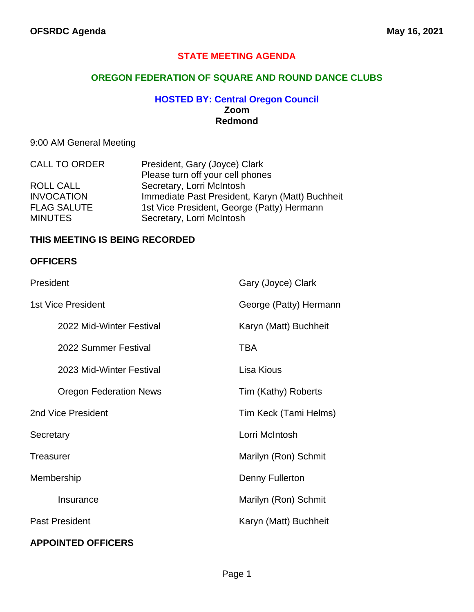## **STATE MEETING AGENDA**

### **OREGON FEDERATION OF SQUARE AND ROUND DANCE CLUBS**

#### **HOSTED BY: Central Oregon Council Zoom Redmond**

## 9:00 AM General Meeting

| <b>CALL TO ORDER</b> | President, Gary (Joyce) Clark                   |
|----------------------|-------------------------------------------------|
|                      | Please turn off your cell phones                |
| ROLL CALL            | Secretary, Lorri McIntosh                       |
| <b>INVOCATION</b>    | Immediate Past President, Karyn (Matt) Buchheit |
| <b>FLAG SALUTE</b>   | 1st Vice President, George (Patty) Hermann      |
| <b>MINUTES</b>       | Secretary, Lorri McIntosh                       |

#### **THIS MEETING IS BEING RECORDED**

#### **OFFICERS**

| President                     | Gary (Joyce) Clark     |
|-------------------------------|------------------------|
| <b>1st Vice President</b>     | George (Patty) Hermann |
| 2022 Mid-Winter Festival      | Karyn (Matt) Buchheit  |
| 2022 Summer Festival          | <b>TBA</b>             |
| 2023 Mid-Winter Festival      | Lisa Kious             |
| <b>Oregon Federation News</b> | Tim (Kathy) Roberts    |
| 2nd Vice President            | Tim Keck (Tami Helms)  |
| Secretary                     | Lorri McIntosh         |
| <b>Treasurer</b>              | Marilyn (Ron) Schmit   |
| Membership                    | Denny Fullerton        |
| Insurance                     | Marilyn (Ron) Schmit   |
| <b>Past President</b>         | Karyn (Matt) Buchheit  |
| <b>APPOINTED OFFICERS</b>     |                        |

#### Page 1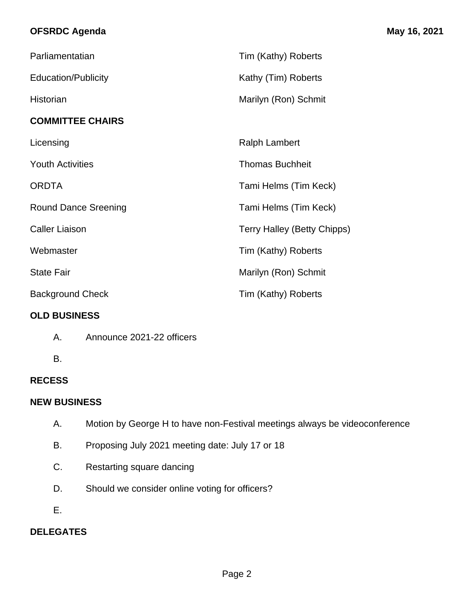## **OFSRDC Agenda May 16, 2021**

| Parliamentatian             | Tim (Kathy) Roberts                |
|-----------------------------|------------------------------------|
| <b>Education/Publicity</b>  | Kathy (Tim) Roberts                |
| Historian                   | Marilyn (Ron) Schmit               |
| <b>COMMITTEE CHAIRS</b>     |                                    |
| Licensing                   | <b>Ralph Lambert</b>               |
| <b>Youth Activities</b>     | <b>Thomas Buchheit</b>             |
| <b>ORDTA</b>                | Tami Helms (Tim Keck)              |
| <b>Round Dance Sreening</b> | Tami Helms (Tim Keck)              |
| <b>Caller Liaison</b>       | <b>Terry Halley (Betty Chipps)</b> |
| Webmaster                   | Tim (Kathy) Roberts                |
| <b>State Fair</b>           | Marilyn (Ron) Schmit               |
| <b>Background Check</b>     | Tim (Kathy) Roberts                |

## **OLD BUSINESS**

- A. Announce 2021-22 officers
- B.

## **RECESS**

## **NEW BUSINESS**

- A. Motion by George H to have non-Festival meetings always be videoconference
- B. Proposing July 2021 meeting date: July 17 or 18
- C. Restarting square dancing
- D. Should we consider online voting for officers?
- E.

## **DELEGATES**